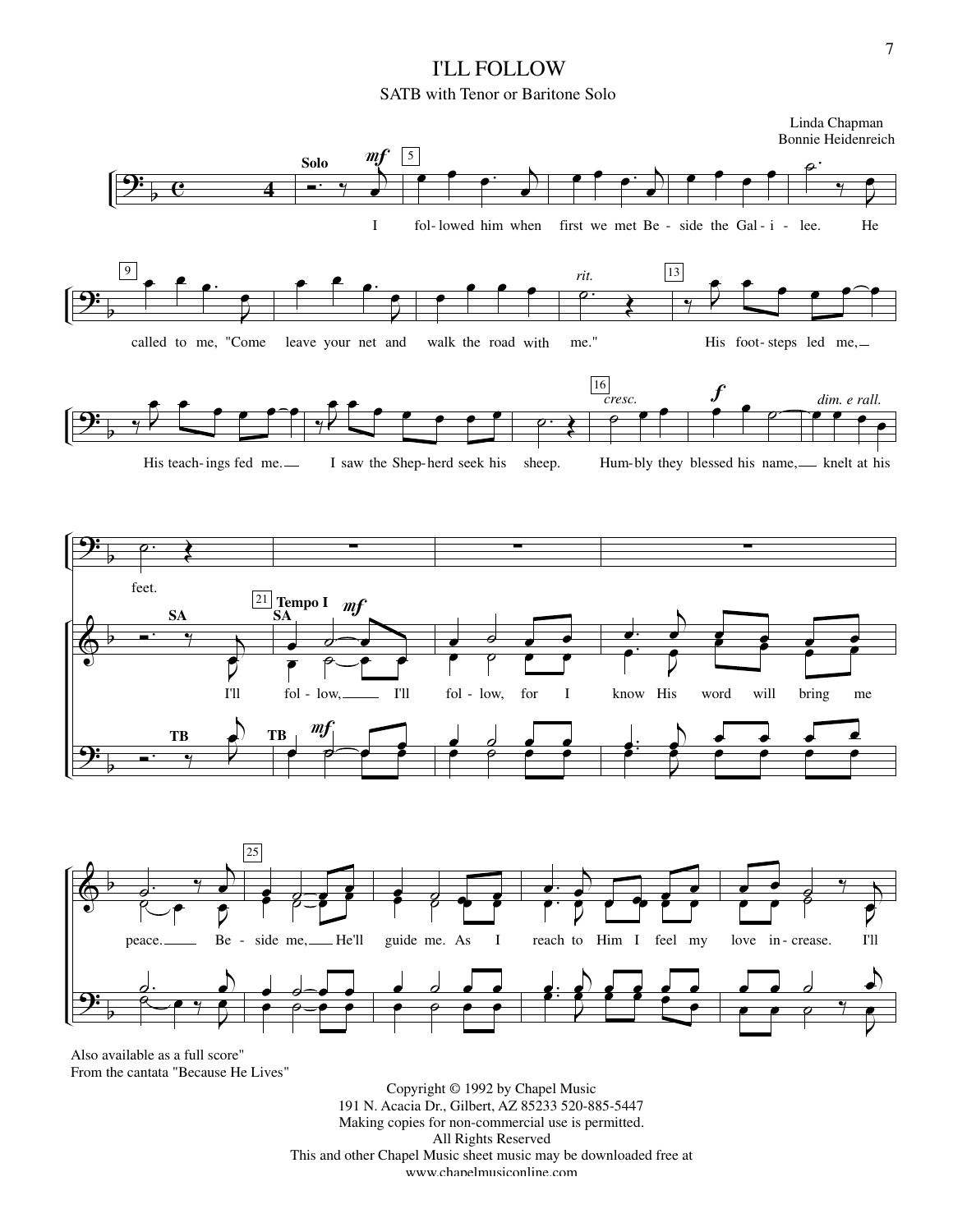## I'LL FOLLOW SATB with Tenor or Baritone Solo



From the cantata "Because He Lives"

Copyright © 1992 by Chapel Music 191 N. Acacia Dr., Gilbert, AZ 85233 520-885-5447 Making copies for non-commercial use is permitted. All Rights Reserved This and other Chapel Music sheet music may be downloaded free at www.chapelmusiconline.com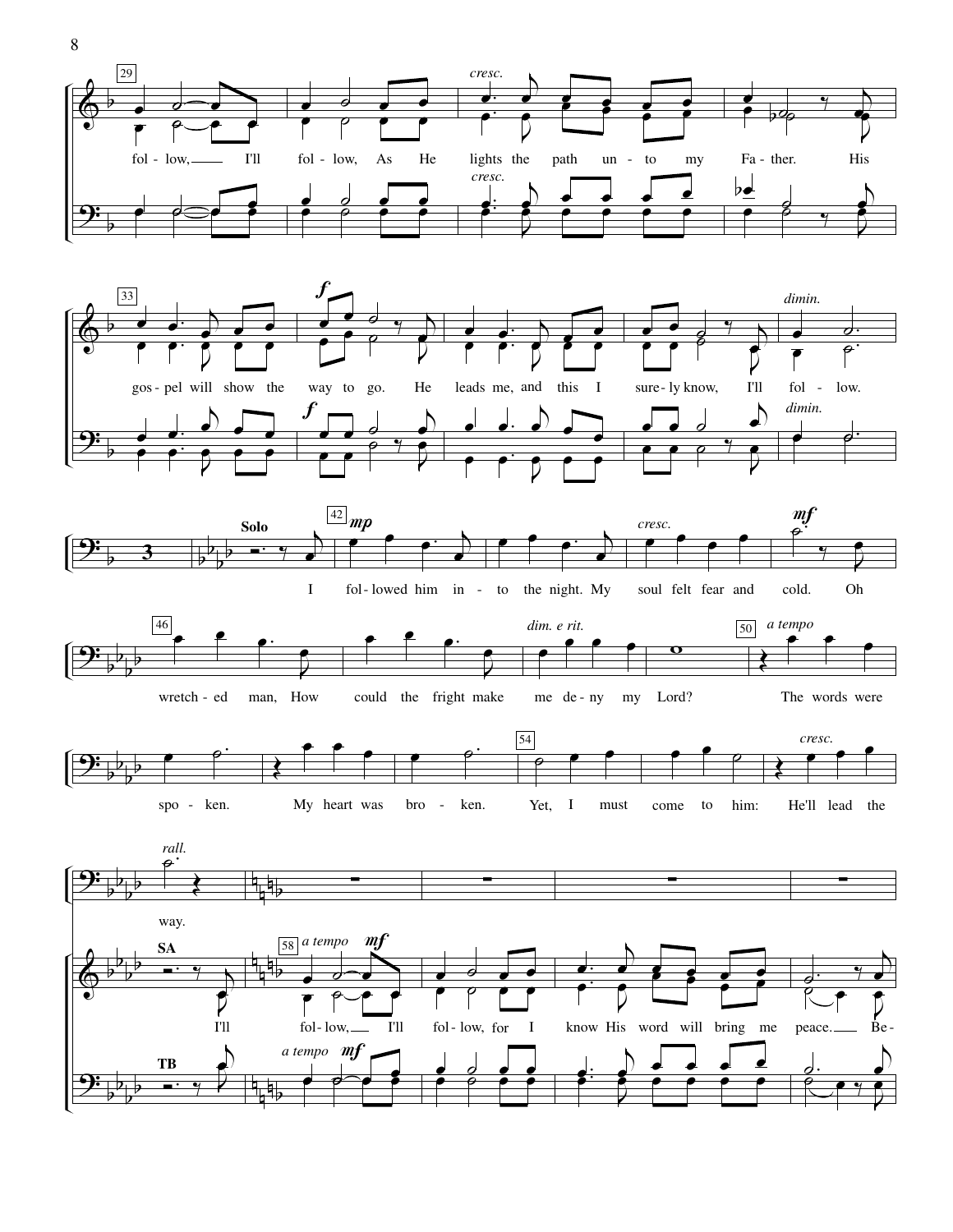



fol- lowed him in - to the night. My soul felt fear and cold. Oh